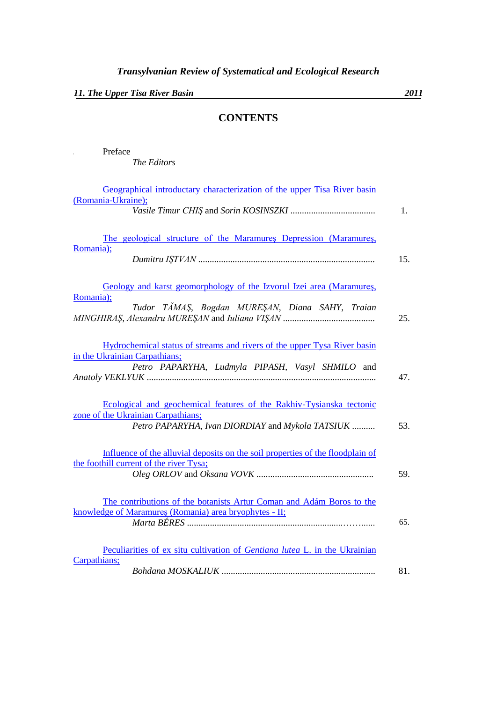## **CONTENTS**

**I** Preface *The Editors*

| Geographical introductary characterization of the upper Tisa River basin       |     |
|--------------------------------------------------------------------------------|-----|
| (Romania-Ukraine);                                                             |     |
|                                                                                | 1.  |
|                                                                                |     |
|                                                                                |     |
| The geological structure of the Maramures Depression (Maramures,               |     |
| Romania);                                                                      |     |
|                                                                                | 15. |
|                                                                                |     |
| Geology and karst geomorphology of the Izvorul Izei area (Maramures,           |     |
|                                                                                |     |
| Romania);                                                                      |     |
| Tudor TĂMAȘ, Bogdan MUREȘAN, Diana SAHY, Traian                                |     |
|                                                                                | 25. |
|                                                                                |     |
| Hydrochemical status of streams and rivers of the upper Tysa River basin       |     |
| in the Ukrainian Carpathians:                                                  |     |
|                                                                                |     |
| Petro PAPARYHA, Ludmyla PIPASH, Vasyl SHMILO and                               | 47. |
|                                                                                |     |
|                                                                                |     |
| Ecological and geochemical features of the Rakhiv-Tysianska tectonic           |     |
| zone of the Ukrainian Carpathians;                                             |     |
| Petro PAPARYHA, Ivan DIORDIAY and Mykola TATSIUK                               | 53. |
|                                                                                |     |
|                                                                                |     |
| Influence of the alluvial deposits on the soil properties of the floodplain of |     |
| the foothill current of the river Tysa;                                        |     |
|                                                                                | 59. |
|                                                                                |     |
|                                                                                |     |
| The contributions of the botanists Artur Coman and Adám Boros to the           |     |
| knowledge of Maramures (Romania) area bryophytes - II;                         |     |
|                                                                                | 65. |
|                                                                                |     |
|                                                                                |     |
| Peculiarities of ex situ cultivation of Gentiana lutea L. in the Ukrainian     |     |
| Carpathians;                                                                   |     |
|                                                                                | 81. |